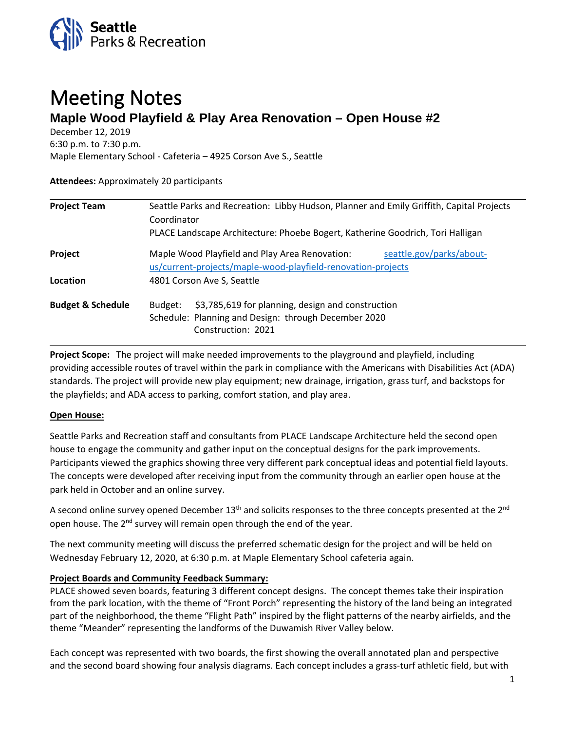

# Meeting Notes **Maple Wood Playfield & Play Area Renovation – Open House #2**

December 12, 2019

6:30 p.m. to 7:30 p.m.

Maple Elementary School - Cafeteria – 4925 Corson Ave S., Seattle

# **Attendees:** Approximately 20 participants

| <b>Project Team</b>          | Seattle Parks and Recreation: Libby Hudson, Planner and Emily Griffith, Capital Projects<br>Coordinator<br>PLACE Landscape Architecture: Phoebe Bogert, Katherine Goodrich, Tori Halligan |                          |
|------------------------------|-------------------------------------------------------------------------------------------------------------------------------------------------------------------------------------------|--------------------------|
|                              |                                                                                                                                                                                           |                          |
| Project                      | Maple Wood Playfield and Play Area Renovation:<br>us/current-projects/maple-wood-playfield-renovation-projects                                                                            | seattle.gov/parks/about- |
| Location                     | 4801 Corson Ave S, Seattle                                                                                                                                                                |                          |
| <b>Budget &amp; Schedule</b> | \$3,785,619 for planning, design and construction<br>Budget:<br>Schedule: Planning and Design: through December 2020<br>Construction: 2021                                                |                          |

**Project Scope:** The project will make needed improvements to the playground and playfield, including providing accessible routes of travel within the park in compliance with the Americans with Disabilities Act (ADA) standards. The project will provide new play equipment; new drainage, irrigation, grass turf, and backstops for the playfields; and ADA access to parking, comfort station, and play area.

# **Open House:**

Seattle Parks and Recreation staff and consultants from PLACE Landscape Architecture held the second open house to engage the community and gather input on the conceptual designs for the park improvements. Participants viewed the graphics showing three very different park conceptual ideas and potential field layouts. The concepts were developed after receiving input from the community through an earlier open house at the park held in October and an online survey.

A second online survey opened December 13<sup>th</sup> and solicits responses to the three concepts presented at the 2<sup>nd</sup> open house. The 2<sup>nd</sup> survey will remain open through the end of the year.

The next community meeting will discuss the preferred schematic design for the project and will be held on Wednesday February 12, 2020, at 6:30 p.m. at Maple Elementary School cafeteria again.

# **Project Boards and Community Feedback Summary:**

PLACE showed seven boards, featuring 3 different concept designs. The concept themes take their inspiration from the park location, with the theme of "Front Porch" representing the history of the land being an integrated part of the neighborhood, the theme "Flight Path" inspired by the flight patterns of the nearby airfields, and the theme "Meander" representing the landforms of the Duwamish River Valley below.

Each concept was represented with two boards, the first showing the overall annotated plan and perspective and the second board showing four analysis diagrams. Each concept includes a grass-turf athletic field, but with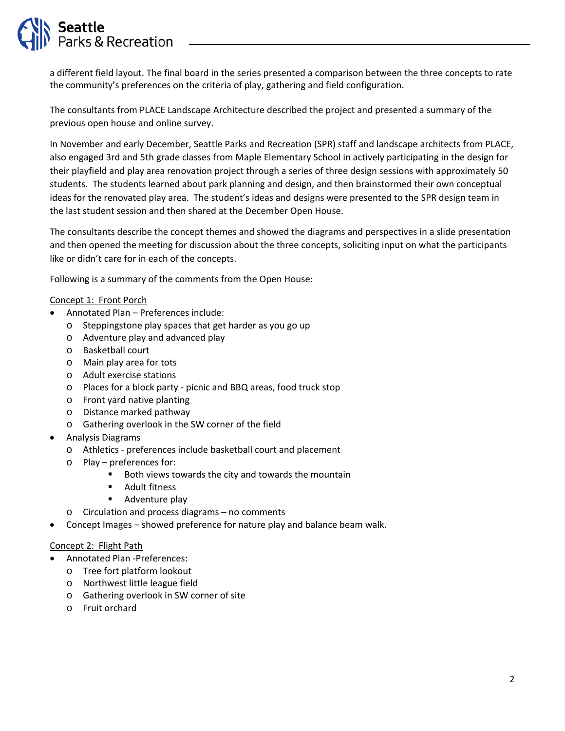

a different field layout. The final board in the series presented a comparison between the three concepts to rate the community's preferences on the criteria of play, gathering and field configuration.

The consultants from PLACE Landscape Architecture described the project and presented a summary of the previous open house and online survey.

In November and early December, Seattle Parks and Recreation (SPR) staff and landscape architects from PLACE, also engaged 3rd and 5th grade classes from Maple Elementary School in actively participating in the design for their playfield and play area renovation project through a series of three design sessions with approximately 50 students. The students learned about park planning and design, and then brainstormed their own conceptual ideas for the renovated play area. The student's ideas and designs were presented to the SPR design team in the last student session and then shared at the December Open House.

The consultants describe the concept themes and showed the diagrams and perspectives in a slide presentation and then opened the meeting for discussion about the three concepts, soliciting input on what the participants like or didn't care for in each of the concepts.

Following is a summary of the comments from the Open House:

#### Concept 1: Front Porch

- Annotated Plan Preferences include:
	- o Steppingstone play spaces that get harder as you go up
	- o Adventure play and advanced play
	- o Basketball court
	- o Main play area for tots
	- o Adult exercise stations
	- o Places for a block party picnic and BBQ areas, food truck stop
	- o Front yard native planting
	- o Distance marked pathway
	- o Gathering overlook in the SW corner of the field
- Analysis Diagrams
	- o Athletics preferences include basketball court and placement
	- o Play preferences for:
		- Both views towards the city and towards the mountain
		- **Adult fitness**
		- **Adventure play**
	- o Circulation and process diagrams no comments
- Concept Images showed preference for nature play and balance beam walk.

#### Concept 2: Flight Path

- Annotated Plan -Preferences:
	- o Tree fort platform lookout
	- o Northwest little league field
	- o Gathering overlook in SW corner of site
	- o Fruit orchard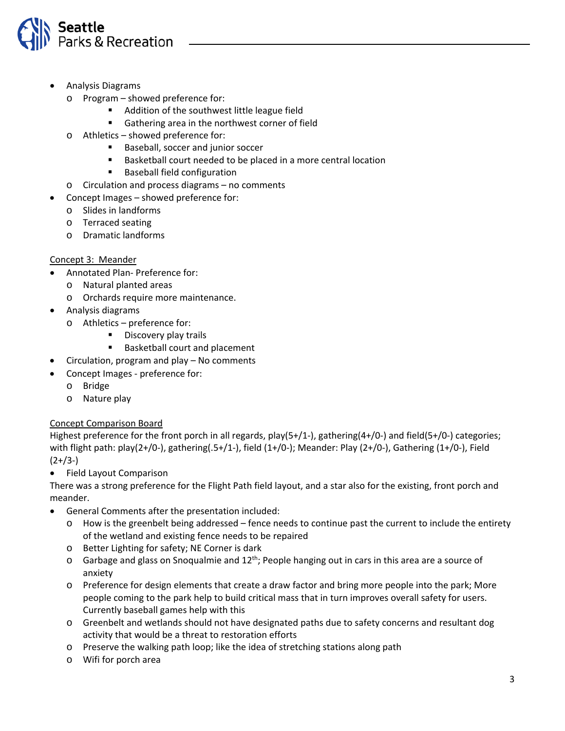

- Analysis Diagrams
	- o Program showed preference for:
		- **Addition of the southwest little league field**
		- Gathering area in the northwest corner of field
	- o Athletics showed preference for:
		- **Baseball, soccer and junior soccer**
		- Basketball court needed to be placed in a more central location
		- **Baseball field configuration**
	- o Circulation and process diagrams no comments
- Concept Images showed preference for:
	- o Slides in landforms
	- o Terraced seating
	- o Dramatic landforms

# Concept 3: Meander

- Annotated Plan- Preference for:
	- o Natural planted areas
	- o Orchards require more maintenance.
- Analysis diagrams
	- o Athletics preference for:
		- **Discovery play trails**
		- Basketball court and placement
- Circulation, program and play No comments
- Concept Images preference for:
	- o Bridge
	- o Nature play

# Concept Comparison Board

Highest preference for the front porch in all regards, play(5+/1-), gathering(4+/0-) and field(5+/0-) categories; with flight path: play(2+/0-), gathering(.5+/1-), field (1+/0-); Meander: Play (2+/0-), Gathering (1+/0-), Field  $(2+/3-)$ 

• Field Layout Comparison

There was a strong preference for the Flight Path field layout, and a star also for the existing, front porch and meander.

- General Comments after the presentation included:
	- o How is the greenbelt being addressed fence needs to continue past the current to include the entirety of the wetland and existing fence needs to be repaired
	- o Better Lighting for safety; NE Corner is dark
	- $\circ$  Garbage and glass on Snoqualmie and 12<sup>th</sup>; People hanging out in cars in this area are a source of anxiety
	- o Preference for design elements that create a draw factor and bring more people into the park; More people coming to the park help to build critical mass that in turn improves overall safety for users. Currently baseball games help with this
	- o Greenbelt and wetlands should not have designated paths due to safety concerns and resultant dog activity that would be a threat to restoration efforts
	- o Preserve the walking path loop; like the idea of stretching stations along path
	- o Wifi for porch area